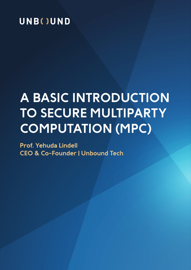## UNB()UND

# **A BASIC INTRODUCTION TO SECURE MULTIPARTY COMPUTATION (MPC)**

**Prof. Yehuda Lindell CEO & Co-Founder | Unbound Tech**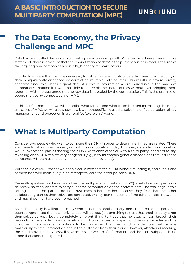### **The Data Economy, the Privacy Challenge and MPC**

Data has been called the modern oil, fueling our economic growth. Whether or not we agree with this statement, there is no doubt that the "monetization of data" is the primary business model of some of the largest global companies and is a high priority for many others.

In order to achieve this goal, it is necessary to gather large amounts of data. Furthermore, the utility of data is significantly enhanced by correlating multiple data sources. This results in severe privacy concerns since this places a great deal of sensitive information about individuals in the hands of corporations. Imagine if it were possible to utilize distinct data sources without ever bringing them together, with the guarantee that no raw data is revealed by the computation. This is the promise of secure multiparty computation, or MPC.

In this brief introduction we will describe what MPC is and what it can be used for. Among the many use cases of MPC, we will also show how it can be specifically used to solve the difficult problem of key management and protection in a virtual (software only) world.

## **What Is Multiparty Computation**

Consider two people who wish to compare their DNA in order to determine if they are related. There are powerful algorithms for carrying out this computation today. However, a standard computation would involve the parties sharing their DNA with each other or with a third party; needless to say, revealing one's DNA can be very dangerous (e.g., it could contain genetic dispositions that insurance companies will then use to deny the person health insurance).

With the aid of MPC, these two people could compare their DNA without revealing it, and even if one of them behaved maliciously in an attempt to learn the other person's DNA.

Generally speaking, in the setting of secure multiparty computation (MPC), a set of distinct parties or devices wish to collaborate to carry out some computation on their private data. The challenge in this setting is that the parties do not trust each other – either because they fear that the other collaborating parties themselves are corrupted, or they fear that some of the other parties' networks and machines may have been breached.

As such, no party is willing to simply send its data to another party, because if that other party has been compromised then their private data will be lost. (It is one thing to trust that another party is not themselves corrupt, but a completely different thing to trust that no attacker can breach their network. For example, consider a situation of two parties: a major cloud service provider and its customer. The customer is unlikely to be concerned that the cloud provider itself will behave maliciously to steal information about the customer from their cloud. However, attackers breaching the cloud provider's services will have access to a wealth of information, and the silent subpoena issue is one that cannot be ignored.)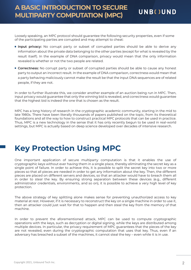Loosely speaking, an MPC protocol should guarantee the following security properties, even if some of the participating parties are corrupted and may attempt to cheat:

- **Input privacy:** No corrupt party or subset of corrupted parties should be able to derive any information about the private data belonging to the other parties (except for what is revealed by the result itself). In the example of DNA comparison, privacy would mean that the only information revealed is whether or not the two people are related.
- **Correctness:** No corrupt party or subset of corrupted parties should be able to cause any honest party to output an incorrect result. In the example of DNA comparison, correctness would mean that a party behaving maliciously cannot make the result be that the input DNA sequences are of related people, if they are not.

In order to further illustrate this, we consider another example of an auction being run in MPC. Then, input privacy would guarantee that only the winning bid is revealed, and correctness would guarantee that the highest bid is indeed the one that is chosen as the result.

MPC has a long history of research in the cryptographic academic community, starting in the mid to late 1980s. There have been literally thousands of papers published on the topic, from its theoretical foundations and all the way to how to construct practical MPC protocols that can be used in practice. Thus, MPC is a new technology in the sense that it has only recently begun to be used in real-world settings, but MPC is actually based on deep science developed over decades of intensive research.

### **Key Protection Using MPC**

One important application of secure multiparty computation is that it enables the use of cryptographic keys without ever having them in a single place, thereby eliminating the secret key as a single point of failure. In order to achieve this, it is possible to split the secret key into two or more pieces so that all pieces are needed in order to get any information about the key. Then, the different pieces are placed on different servers and devices, so that an attacker would have to breach them all in order to steal the key. By ensuring strong separation between these devices (e.g., different administrator credentials, environments, and so on), it is possible to achieve a very high level of key protection.

The above strategy of key splitting alone makes sense for preventing unauthorized access to key material at rest. However, if it is necessary to reconstruct the key on a single machine in order to use it, then an attacker could just wait for that to happen and then steal the key from the memory of that machine.

In order to prevent the aforementioned attack, MPC can be used to compute cryptographic operations with the keys, such as decryption or digital signing, while the keys are distributed among multiple devices. In particular, the privacy requirement of MPC guarantees that the pieces of the key are not revealed, even during the cryptographic computation that uses that key. Thus, even if an adversary has breached a subset of the machines, it cannot steal the key – even while it is in use.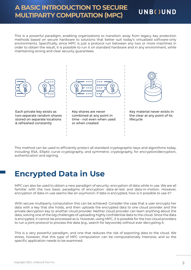#### **A BASIC INTRODUCTION TO SECURE MULTIPARTY COMPUTATION (MPC)**

#### **UNB()UND**

This is a powerful paradigm, enabling organizations to transition away from legacy key protection methods based on secure hardware to solutions that better suit today's virtualized software-only environments. Specifically, since MPC is just a protocol run between any two or more machines in order to obtain the result, it is possible to run it on standard hardware and in any environment, while maintaining strong and clear security guarantees.



This method can be used to efficiently protect all standard cryptographic keys and algorithms today, including RSA, Elliptic curve cryptography, and symmetric cryptography, for encryption/decryption, authentication and signing.

### **Encrypted Data in Use**

MPC can also be used to obtain a new paradigm of security: encryption of data while in use. We are all familiar with the two basic paradigms of encryption: data-at-rest and data-in-motion. However, encryption of data-in-use seems like an oxymoron: if data is encrypted, how is it possible to use it?

With secure multiparty computation this can be achieved. Consider the case that a user encrypts her data with a key that she holds, and then uploads the encrypted data to one cloud provider and the private decryption key to another cloud provider. Neither cloud provider can learn anything about the data, solving one of the big challenges of uploading highly confidential data to the cloud. Since the data is encrypted, it cannot be processed as is. However, using MPC, it is possible for the two cloud providers to run a joint protocol to process the data (e.g., search for keywords) without ever decrypting it.

This is a very powerful paradigm, and one that reduces the risk of exporting data to the cloud. We stress, however, that this type of MPC computation can be computationally intensive, and so the specific application needs to be examined.